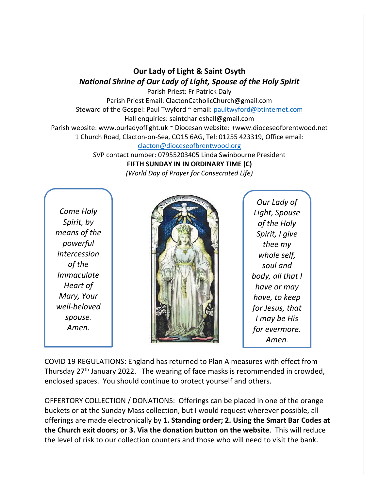## **Our Lady of Light & Saint Osyth** *National Shrine of Our Lady of Light, Spouse of the Holy Spirit*

Parish Priest: Fr Patrick Daly Parish Priest Email: ClactonCatholicChurch@gmail.com Steward of the Gospel: Paul Twyford ~ email: [paultwyford@btinternet.com](mailto:paultwyford@btinternet.com) Hall enquiries: saintcharleshall@gmail.com Parish website: www.ourladyoflight.uk ~ Diocesan website: +www.dioceseofbrentwood.net 1 Church Road, Clacton-on-Sea, CO15 6AG, Tel: 01255 423319, Office email:

[clacton@dioceseofbrentwood.org](mailto:clacton@dioceseofbrentwood.org)

SVP contact number: 07955203405 Linda Swinbourne President **FIFTH SUNDAY IN IN ORDINARY TIME (C)** *(World Day of Prayer for Consecrated Life)*

*Come Holy Spirit, by means of the powerful intercession of the Immaculate Heart of Mary, Your well-beloved spouse. Amen.*



*Our Lady of Light, Spouse of the Holy Spirit, I give thee my whole self, soul and body, all that I have or may have, to keep for Jesus, that I may be His for evermore. Amen.*

COVID 19 REGULATIONS: England has returned to Plan A measures with effect from Thursday  $27<sup>th</sup>$  January 2022. The wearing of face masks is recommended in crowded, enclosed spaces. You should continue to protect yourself and others.

OFFERTORY COLLECTION / DONATIONS: Offerings can be placed in one of the orange buckets or at the Sunday Mass collection, but I would request wherever possible, all offerings are made electronically by **1. Standing order; 2. Using the Smart Bar Codes at the Church exit doors; or 3. Via the donation button on the website**. This will reduce the level of risk to our collection counters and those who will need to visit the bank.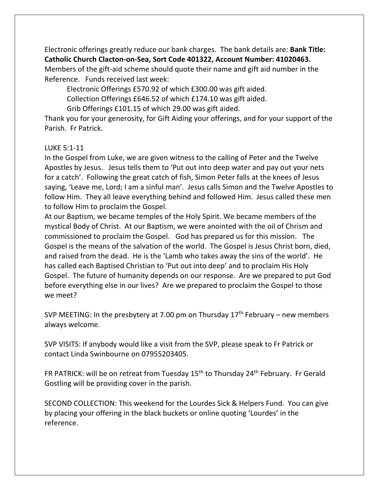Electronic offerings greatly reduce our bank charges. The bank details are: **Bank Title: Catholic Church Clacton-on-Sea, Sort Code 401322, Account Number: 41020463.** Members of the gift-aid scheme should quote their name and gift aid number in the Reference. Funds received last week:

Electronic Offerings £570.92 of which £300.00 was gift aided.

Collection Offerings £646.52 of which £174.10 was gift aided.

Grib Offerings £101.15 of which 29.00 was gift aided.

Thank you for your generosity, for Gift Aiding your offerings, and for your support of the Parish. Fr Patrick.

## LUKE 5:1-11

In the Gospel from Luke, we are given witness to the calling of Peter and the Twelve Apostles by Jesus. Jesus tells them to 'Put out into deep water and pay out your nets for a catch'. Following the great catch of fish, Simon Peter falls at the knees of Jesus saying, 'Leave me, Lord; I am a sinful man'. Jesus calls Simon and the Twelve Apostles to follow Him. They all leave everything behind and followed Him. Jesus called these men to follow Him to proclaim the Gospel.

At our Baptism, we became temples of the Holy Spirit. We became members of the mystical Body of Christ. At our Baptism, we were anointed with the oil of Chrism and commissioned to proclaim the Gospel. God has prepared us for this mission. The Gospel is the means of the salvation of the world. The Gospel is Jesus Christ born, died, and raised from the dead. He is the 'Lamb who takes away the sins of the world'. He has called each Baptised Christian to 'Put out into deep' and to proclaim His Holy Gospel. The future of humanity depends on our response. Are we prepared to put God before everything else in our lives? Are we prepared to proclaim the Gospel to those we meet?

SVP MEETING: In the presbytery at 7.00 pm on Thursday  $17<sup>th</sup>$  February – new members always welcome.

SVP VISITS: If anybody would like a visit from the SVP, please speak to Fr Patrick or contact Linda Swinbourne on 07955203405.

FR PATRICK: will be on retreat from Tuesday 15<sup>th</sup> to Thursday 24<sup>th</sup> February. Fr Gerald Gostling will be providing cover in the parish.

SECOND COLLECTION: This weekend for the Lourdes Sick & Helpers Fund. You can give by placing your offering in the black buckets or online quoting 'Lourdes' in the reference.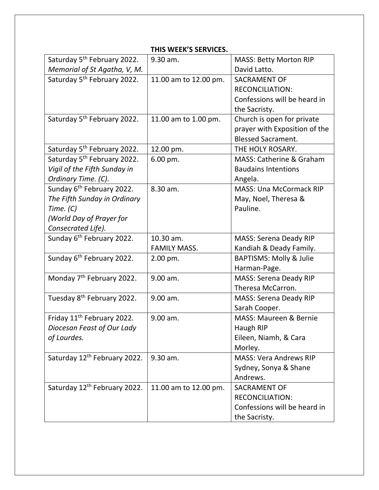| THIS WEEK'S SERVICES.                    |                       |                                     |  |
|------------------------------------------|-----------------------|-------------------------------------|--|
| Saturday 5 <sup>th</sup> February 2022.  | 9.30 am.              | <b>MASS: Betty Morton RIP</b>       |  |
| Memorial of St Agatha, V, M.             |                       | David Latto.                        |  |
| Saturday 5 <sup>th</sup> February 2022.  | 11.00 am to 12.00 pm. | <b>SACRAMENT OF</b>                 |  |
|                                          |                       | <b>RECONCILIATION:</b>              |  |
|                                          |                       | Confessions will be heard in        |  |
|                                          |                       | the Sacristy.                       |  |
| Saturday 5 <sup>th</sup> February 2022.  | 11.00 am to 1.00 pm.  | Church is open for private          |  |
|                                          |                       | prayer with Exposition of the       |  |
|                                          |                       | <b>Blessed Sacrament.</b>           |  |
| Saturday 5 <sup>th</sup> February 2022.  | 12.00 pm.             | THE HOLY ROSARY.                    |  |
| Saturday 5 <sup>th</sup> February 2022.  | 6.00 pm.              | <b>MASS: Catherine &amp; Graham</b> |  |
| Vigil of the Fifth Sunday in             |                       | <b>Baudains Intentions</b>          |  |
| Ordinary Time. (C).                      |                       | Angela.                             |  |
| Sunday 6 <sup>th</sup> February 2022.    | 8.30 am.              | <b>MASS: Una McCormack RIP</b>      |  |
| The Fifth Sunday in Ordinary             |                       | May, Noel, Theresa &                |  |
| Time. $(C)$                              |                       | Pauline.                            |  |
| (World Day of Prayer for                 |                       |                                     |  |
| Consecrated Life).                       |                       |                                     |  |
| Sunday 6 <sup>th</sup> February 2022.    | 10.30 am.             | <b>MASS: Serena Deady RIP</b>       |  |
|                                          | <b>FAMILY MASS.</b>   | Kandiah & Deady Family.             |  |
| Sunday 6 <sup>th</sup> February 2022.    | 2.00 pm.              | <b>BAPTISMS: Molly &amp; Julie</b>  |  |
|                                          |                       | Harman-Page.                        |  |
| Monday 7 <sup>th</sup> February 2022.    | 9.00 am.              | <b>MASS: Serena Deady RIP</b>       |  |
|                                          |                       | Theresa McCarron.                   |  |
| Tuesday 8 <sup>th</sup> February 2022.   | 9.00 am.              | <b>MASS: Serena Deady RIP</b>       |  |
|                                          |                       | Sarah Cooper.                       |  |
| Friday 11 <sup>th</sup> February 2022.   | 9.00 am.              | MASS: Maureen & Bernie              |  |
| Diocesan Feast of Our Lady               |                       | Haugh RIP                           |  |
| of Lourdes.                              |                       | Eileen, Niamh, & Cara               |  |
|                                          |                       | Morley.                             |  |
| Saturday 12 <sup>th</sup> February 2022. | 9.30 am.              | <b>MASS: Vera Andrews RIP</b>       |  |
|                                          |                       | Sydney, Sonya & Shane               |  |
|                                          |                       | Andrews.                            |  |
| Saturday 12 <sup>th</sup> February 2022. | 11.00 am to 12.00 pm. | <b>SACRAMENT OF</b>                 |  |
|                                          |                       | <b>RECONCILIATION:</b>              |  |
|                                          |                       | Confessions will be heard in        |  |
|                                          |                       | the Sacristy.                       |  |